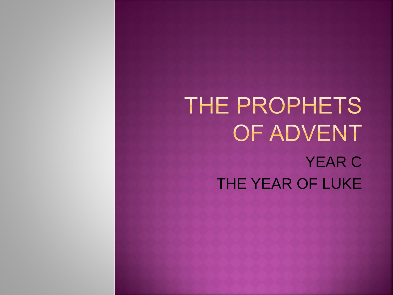## THE PROPHETS OF ADVENT YEAR C THE YEAR OF LUKE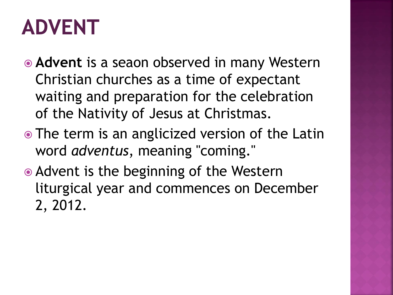## **ADVENT**

- **Advent** is a seaon observed in many Western Christian churches as a time of expectant waiting and preparation for the celebration of the Nativity of Jesus at Christmas.
- The term is an anglicized version of the Latin word *adventus*, meaning "coming."
- Advent is the beginning of the Western liturgical year and commences on December 2, 2012.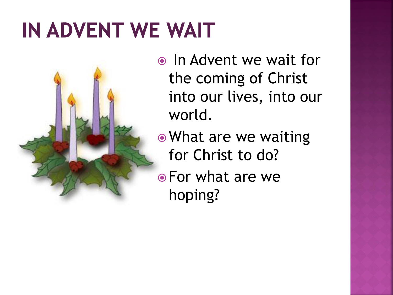## IN ADVENT WE WAIT

- In Advent we wait for the coming of Christ into our lives, into our world.
- What are we waiting for Christ to do?
- For what are we hoping?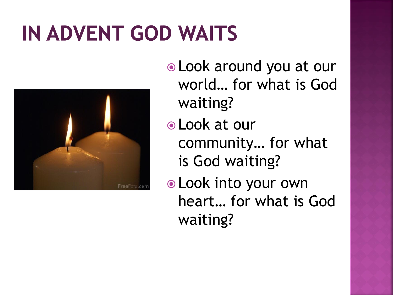## **IN ADVENT GOD WAITS**



- Look around you at our world… for what is God waiting?
- Look at our community… for what is God waiting?
- Look into your own heart… for what is God waiting?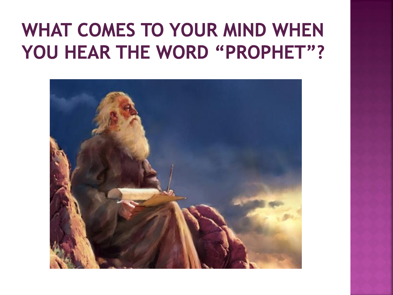#### **WHAT COMES TO YOUR MIND WHEN** YOU HEAR THE WORD "PROPHET"?

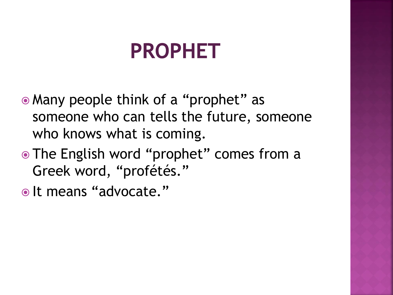## **PROPHET**

- Many people think of a "prophet" as someone who can tells the future, someone who knows what is coming.
- The English word "prophet" comes from a Greek word, "profétés."
- $\bullet$  It means "advocate."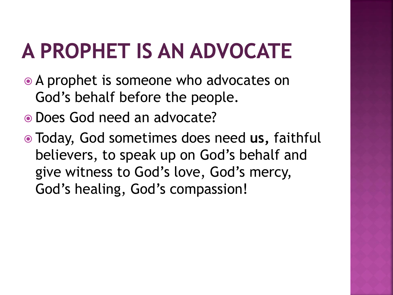# A PROPHET IS AN ADVOCATE

- A prophet is someone who advocates on God's behalf before the people.
- Does God need an advocate?
- Today, God sometimes does need **us,** faithful believers, to speak up on God's behalf and give witness to God's love, God's mercy, God's healing, God's compassion!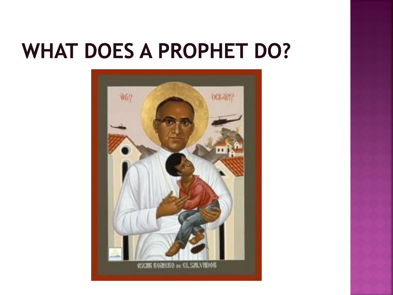## **WHAT DOES A PROPHET DO?**

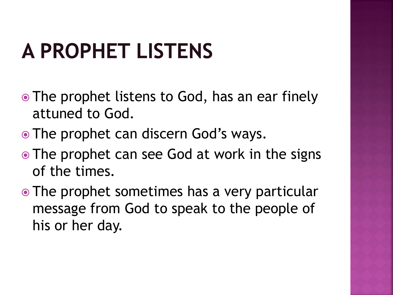# **A PROPHET LISTENS**

- The prophet listens to God, has an ear finely attuned to God.
- The prophet can discern God's ways.
- The prophet can see God at work in the signs of the times.
- The prophet sometimes has a very particular message from God to speak to the people of his or her day.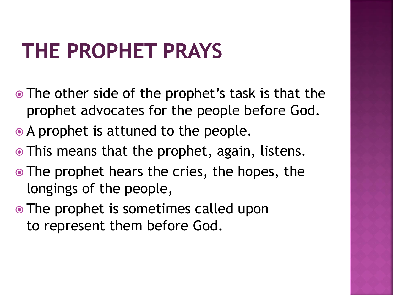## **THE PROPHET PRAYS**

- The other side of the prophet's task is that the prophet advocates for the people before God.
- A prophet is attuned to the people.
- This means that the prophet, again, listens.
- The prophet hears the cries, the hopes, the longings of the people,
- The prophet is sometimes called upon to represent them before God.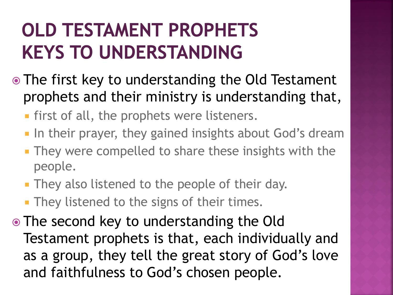#### **OLD TESTAMENT PROPHETS KEYS TO UNDERSTANDING**

- The first key to understanding the Old Testament prophets and their ministry is understanding that,
	- **first of all, the prophets were listeners.**
	- **IF In their prayer, they gained insights about God's dream**
	- **They were compelled to share these insights with the** people.
	- **They also listened to the people of their day.**
	- **They listened to the signs of their times.**
- The second key to understanding the Old Testament prophets is that, each individually and as a group, they tell the great story of God's love and faithfulness to God's chosen people.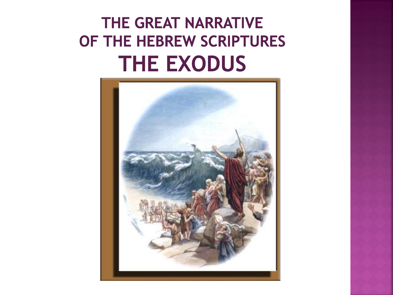#### THE GREAT NARRATIVE OF THE HEBREW SCRIPTURES **THE EXODUS**

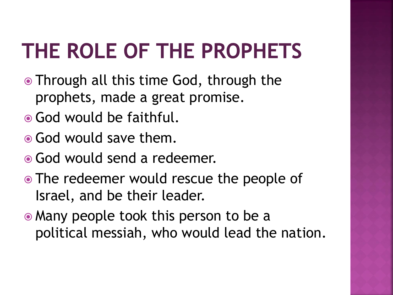# THE ROLE OF THE PROPHETS

- Through all this time God, through the prophets, made a great promise.
- God would be faithful.
- God would save them.
- God would send a redeemer.
- The redeemer would rescue the people of Israel, and be their leader.
- Many people took this person to be a political messiah, who would lead the nation.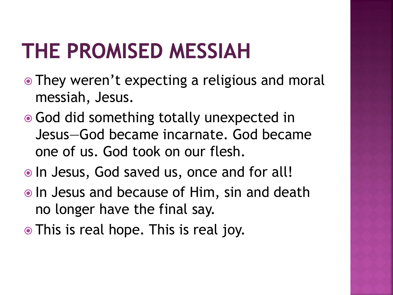## **THE PROMISED MESSIAH**

- They weren't expecting a religious and moral messiah, Jesus.
- God did something totally unexpected in Jesus—God became incarnate. God became one of us. God took on our flesh.
- In Jesus, God saved us, once and for all!
- In Jesus and because of Him, sin and death no longer have the final say.
- This is real hope. This is real joy.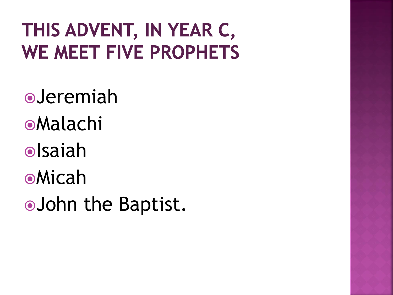#### THIS ADVENT, IN YEAR C, **WE MEET FIVE PROPHETS**

Jeremiah Malachi **o**Isaiah Micah John the Baptist.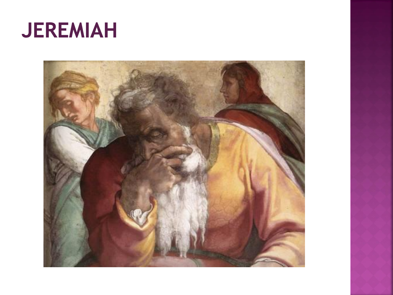### **JEREMIAH**

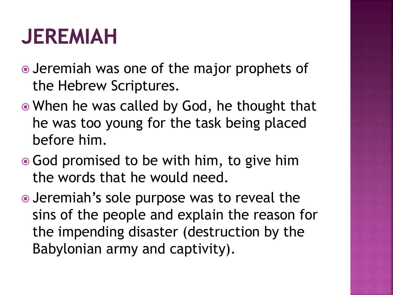## **JEREMIAH**

- Jeremiah was one of the major prophets of the Hebrew Scriptures.
- When he was called by God, he thought that he was too young for the task being placed before him.
- **God promised to be with him, to give him** the words that he would need.
- Jeremiah's sole purpose was to reveal the sins of the people and explain the reason for the impending disaster (destruction by the Babylonian army and captivity).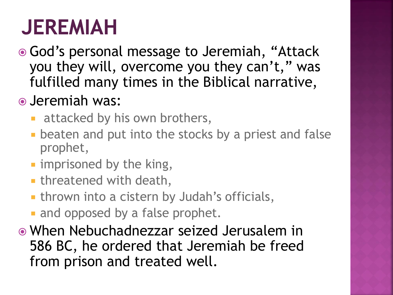## **JEREMIAH**

 God's personal message to Jeremiah, "Attack you they will, overcome you they can't," was fulfilled many times in the Biblical narrative,

#### Jeremiah was:

- attacked by his own brothers,
- **Example 2 beaten and put into the stocks by a priest and false** prophet,
- **I** imprisoned by the king,
- **Example 1 starture in threatened with death,**
- **thrown into a cistern by Judah's officials,**
- and opposed by a false prophet.
- When Nebuchadnezzar seized Jerusalem in 586 BC, he ordered that Jeremiah be freed from prison and treated well.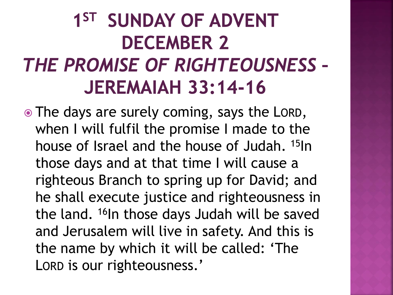#### 1<sup>ST</sup> SUNDAY OF ADVENT **DECEMBER 2** THE PROMISE OF RIGHTEOUSNESS -**JEREMAIAH 33:14-16**

• The days are surely coming, says the LORD, when I will fulfil the promise I made to the house of Israel and the house of Judah. <sup>15</sup>In those days and at that time I will cause a righteous Branch to spring up for David; and he shall execute justice and righteousness in the land. <sup>16</sup>In those days Judah will be saved and Jerusalem will live in safety. And this is the name by which it will be called: 'The LORD is our righteousness.'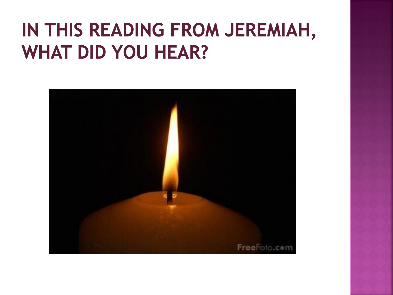#### IN THIS READING FROM JEREMIAH, **WHAT DID YOU HEAR?**

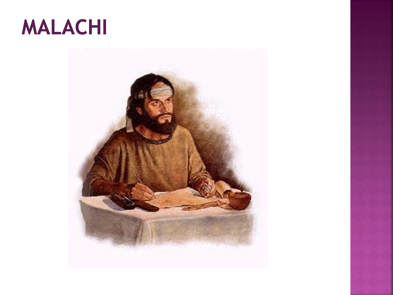

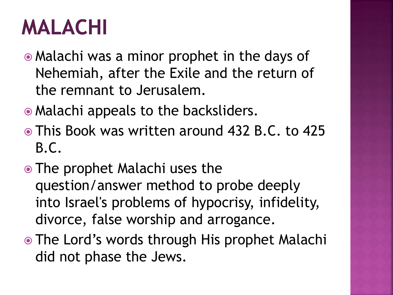## **MALACHI**

- Malachi was a minor prophet in the days of Nehemiah, after the Exile and the return of the remnant to Jerusalem.
- Malachi appeals to the backsliders.
- This Book was written around 432 B.C. to 425 B.C.
- The prophet Malachi uses the question/answer method to probe deeply into Israel's problems of hypocrisy, infidelity, divorce, false worship and arrogance.
- The Lord's words through His prophet Malachi did not phase the Jews.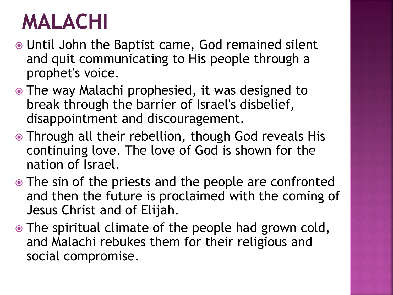### **MALACHI**

- Until John the Baptist came, God remained silent and quit communicating to His people through a prophet's voice.
- The way Malachi prophesied, it was designed to break through the barrier of Israel's disbelief, disappointment and discouragement.
- Through all their rebellion, though God reveals His continuing love. The love of God is shown for the nation of Israel.
- The sin of the priests and the people are confronted and then the future is proclaimed with the coming of Jesus Christ and of Elijah.
- The spiritual climate of the people had grown cold, and Malachi rebukes them for their religious and social compromise.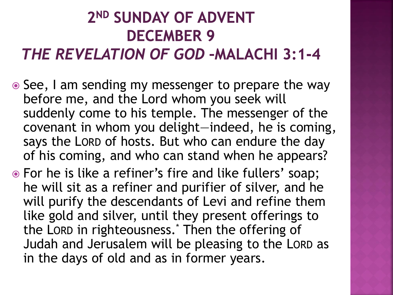#### 2<sup>ND</sup> SUNDAY OF ADVENT **DECEMBER 9**

#### **THE REVELATION OF GOD-MALACHI 3:1-4**

- See, I am sending my messenger to prepare the way before me, and the Lord whom you seek will suddenly come to his temple. The messenger of the covenant in whom you delight—indeed, he is coming, says the LORD of hosts. But who can endure the day of his coming, and who can stand when he appears?
- For he is like a refiner's fire and like fullers' soap; he will sit as a refiner and purifier of silver, and he will purify the descendants of Levi and refine them like gold and silver, until they present offerings to the LORD in righteousness.\* Then the offering of Judah and Jerusalem will be pleasing to the LORD as in the days of old and as in former years.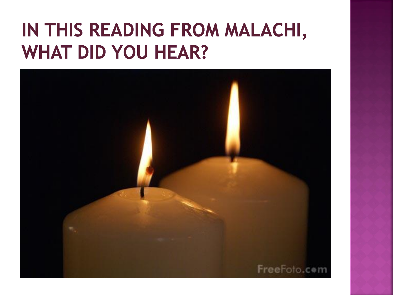#### IN THIS READING FROM MALACHI, **WHAT DID YOU HEAR?**

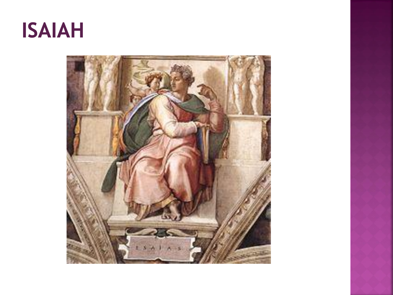

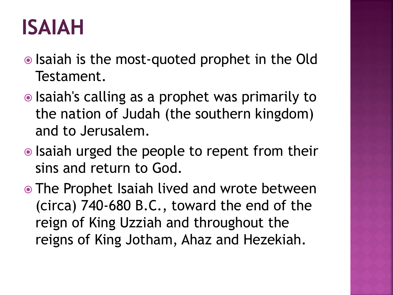## **ISAIAH**

- Isaiah is the most-quoted prophet in the Old Testament.
- $\odot$  Isaiah's calling as a prophet was primarily to the nation of Judah (the southern kingdom) and to Jerusalem.
- Isaiah urged the people to repent from their sins and return to God.
- The Prophet Isaiah lived and wrote between (circa) 740-680 B.C., toward the end of the reign of King Uzziah and throughout the reigns of King Jotham, Ahaz and Hezekiah.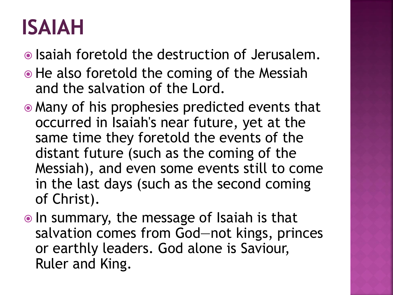## **ISAIAH**

Isaiah foretold the destruction of Jerusalem.

- He also foretold the coming of the Messiah and the salvation of the Lord.
- Many of his prophesies predicted events that occurred in Isaiah's near future, yet at the same time they foretold the events of the distant future (such as the coming of the Messiah), and even some events still to come in the last days (such as the second coming of Christ).
- In summary, the message of Isaiah is that salvation comes from God—not kings, princes or earthly leaders. God alone is Saviour, Ruler and King.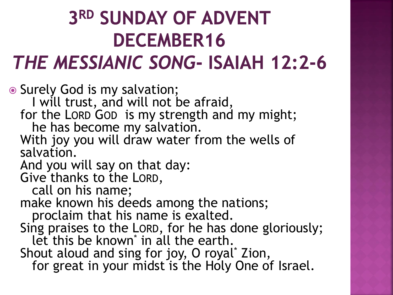# **3RD SUNDAY OF ADVENT DECEMBER16**

#### THE MESSIANIC SONG- ISAIAH 12:2-6

 Surely God is my salvation; I will trust, and will not be afraid, for the LORD GOD is my strength and my might; he has become my salvation. With joy you will draw water from the wells of salvation. And you will say on that day: Give thanks to the LORD, call on his name; make known his deeds among the nations; proclaim that his name is exalted. Sing praises to the LORD, for he has done gloriously; let this be known<sup>\*</sup> in all the earth. Shout aloud and sing for joy, O royal\* Zion, for great in your midst is the Holy One of Israel.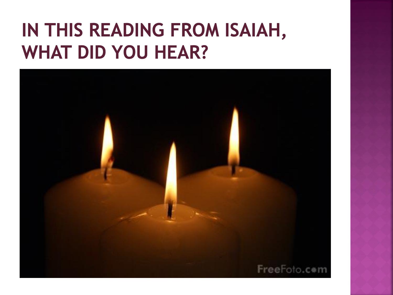#### IN THIS READING FROM ISAIAH, **WHAT DID YOU HEAR?**

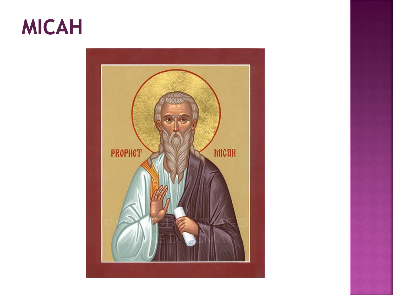### **MICAH**

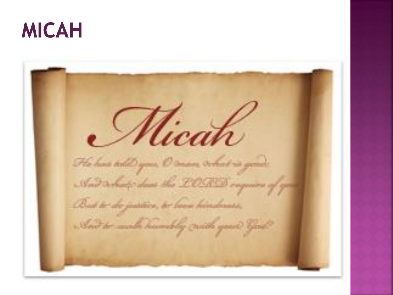

Micah Fle has tall you. O man what is gone And declared that the LOGOS organize of But to do justice, to been binderess, Soit to make himsely create your Good?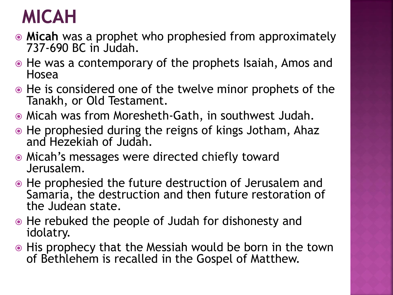#### **MICAH**

- **Micah** was a prophet who prophesied from approximately 737-690 BC in Judah.
- He was a contemporary of the prophets Isaiah, Amos and Hosea
- He is considered one of the twelve minor prophets of the Tanakh, or Old Testament.
- Micah was from Moresheth-Gath, in southwest Judah.
- He prophesied during the reigns of kings Jotham, Ahaz and Hezekiah of Judah.
- Micah's messages were directed chiefly toward Jerusalem.
- He prophesied the future destruction of Jerusalem and Samaria, the destruction and then future restoration of the Judean state.
- He rebuked the people of Judah for dishonesty and idolatry.
- His prophecy that the Messiah would be born in the town of Bethlehem is recalled in the Gospel of Matthew.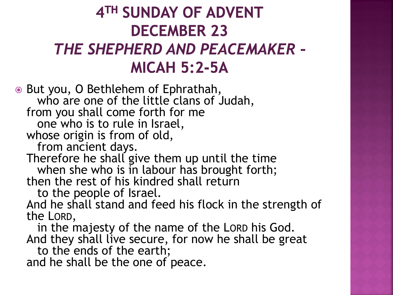#### 4TH SUNDAY OF ADVENT **DECEMBER 23** THE SHEPHERD AND PEACEMAKER -**MICAH 5:2-5A**

**● But you, O Bethlehem of Ephrathah,** who are one of the little clans of Judah, from you shall come forth for me one who is to rule in Israel, whose origin is from of old, from ancient days. Therefore he shall give them up until the time when she who is in labour has brought forth; then the rest of his kindred shall return to the people of Israel.

And he shall stand and feed his flock in the strength of the LORD,

in the majesty of the name of the LORD his God. And they shall live secure, for now he shall be great

to the ends of the earth; and he shall be the one of peace.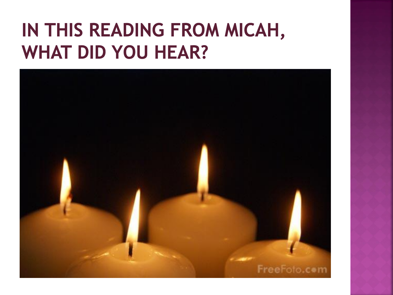#### IN THIS READING FROM MICAH, **WHAT DID YOU HEAR?**

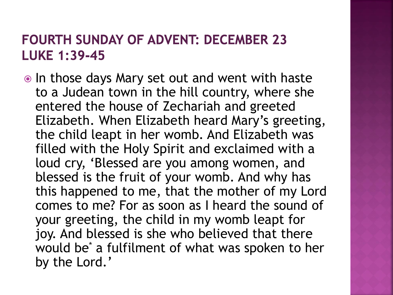#### **FOURTH SUNDAY OF ADVENT: DECEMBER 23 LUKE 1:39-45**

• In those days Mary set out and went with haste to a Judean town in the hill country, where she entered the house of Zechariah and greeted Elizabeth. When Elizabeth heard Mary's greeting, the child leapt in her womb. And Elizabeth was filled with the Holy Spirit and exclaimed with a loud cry, 'Blessed are you among women, and blessed is the fruit of your womb. And why has this happened to me, that the mother of my Lord comes to me? For as soon as I heard the sound of your greeting, the child in my womb leapt for joy. And blessed is she who believed that there would be<sup>\*</sup> a fulfilment of what was spoken to her by the Lord.'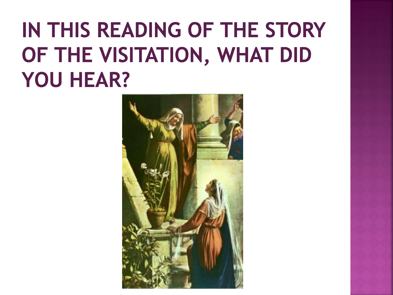## IN THIS READING OF THE STORY OF THE VISITATION, WHAT DID **YOU HEAR?**

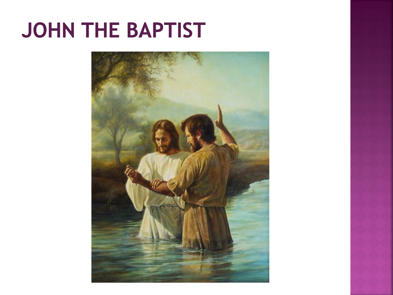## JOHN THE BAPTIST

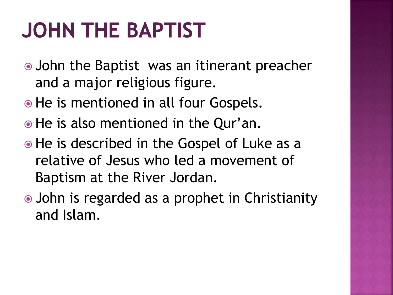## **JOHN THE BAPTIST**

- John the Baptist was an itinerant preacher and a major religious figure.
- He is mentioned in all four Gospels.
- He is also mentioned in the Qur'an.
- He is described in the Gospel of Luke as a relative of Jesus who led a movement of Baptism at the River Jordan.
- John is regarded as a prophet in Christianity and Islam.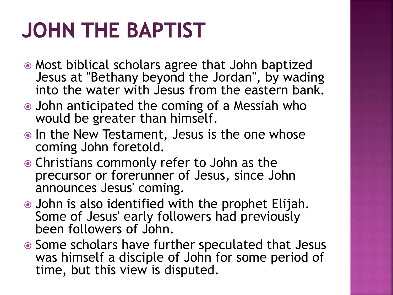## **JOHN THE BAPTIST**

- Most biblical scholars agree that John baptized Jesus at "Bethany beyond the Jordan", by wading into the water with Jesus from the eastern bank.
- John anticipated the coming of a Messiah who would be greater than himself.
- In the New Testament, Jesus is the one whose coming John foretold.
- Christians commonly refer to John as the precursor or forerunner of Jesus, since John announces Jesus' coming.
- John is also identified with the prophet Elijah. Some of Jesus' early followers had previously been followers of John.
- Some scholars have further speculated that Jesus was himself a disciple of John for some period of time, but this view is disputed.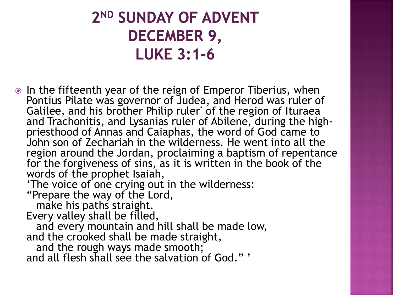#### 2ND SUNDAY OF ADVENT **DECEMBER 9, LUKE 3:1-6**

• In the fifteenth year of the reign of Emperor Tiberius, when Pontius Pilate was governor of Judea, and Herod was ruler of Galilee, and his brother Philip ruler<sup>\*</sup> of the region of Ituraea and Trachonitis, and Lysanias ruler of Abilene, during the highpriesthood of Annas and Caiaphas, the word of God came to John son of Zechariah in the wilderness. He went into all the region around the Jordan, proclaiming a baptism of repentance for the forgiveness of sins, as it is written in the book of the words of the prophet Isaiah,

'The voice of one crying out in the wilderness:

"Prepare the way of the Lord,

make his paths straight.

Every valley shall be filled,

and every mountain and hill shall be made low, and the crooked shall be made straight,

and the rough ways made smooth;

and all flesh shall see the salvation of God." '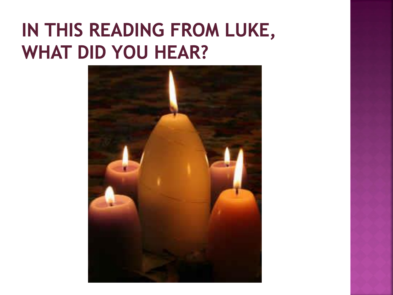#### IN THIS READING FROM LUKE, **WHAT DID YOU HEAR?**

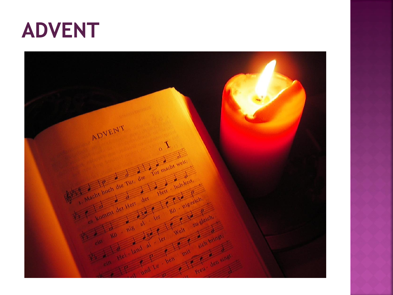

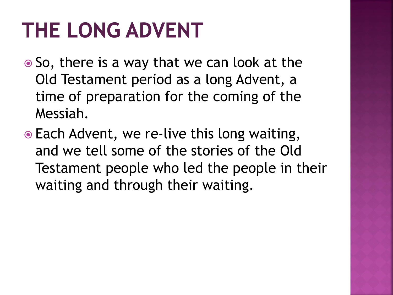## **THE LONG ADVENT**

- So, there is a way that we can look at the Old Testament period as a long Advent, a time of preparation for the coming of the Messiah.
- Each Advent, we re-live this long waiting, and we tell some of the stories of the Old Testament people who led the people in their waiting and through their waiting.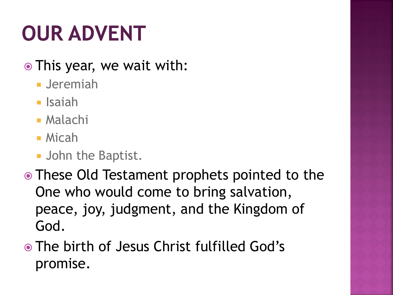# **OUR ADVENT**

#### • This year, we wait with:

- Jeremiah
- **I**saiah
- Malachi
- Micah
- **John the Baptist.**
- These Old Testament prophets pointed to the One who would come to bring salvation, peace, joy, judgment, and the Kingdom of God.
- The birth of Jesus Christ fulfilled God's promise.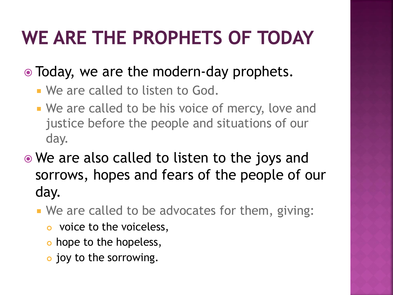#### WE ARE THE PROPHETS OF TODAY

#### • Today, we are the modern-day prophets.

- We are called to listen to God.
- **We are called to be his voice of mercy, love and** justice before the people and situations of our day.
- We are also called to listen to the joys and sorrows, hopes and fears of the people of our day.
	- We are called to be advocates for them, giving:
		- **o** voice to the voiceless,
		- o hope to the hopeless,
		- o joy to the sorrowing.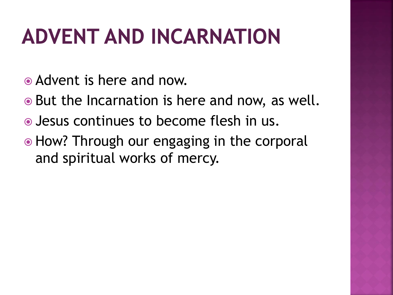## **ADVENT AND INCARNATION**

- Advent is here and now.
- But the Incarnation is here and now, as well.
- Jesus continues to become flesh in us.
- How? Through our engaging in the corporal and spiritual works of mercy.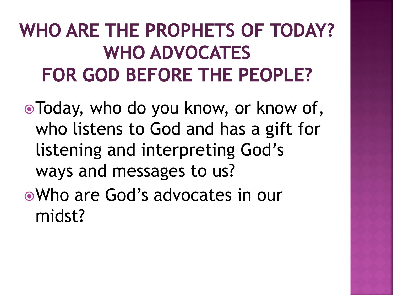#### WHO ARE THE PROPHETS OF TODAY? **WHO ADVOCATES FOR GOD BEFORE THE PEOPLE?**

Today, who do you know, or know of, who listens to God and has a gift for listening and interpreting God's ways and messages to us?

Who are God's advocates in our midst?